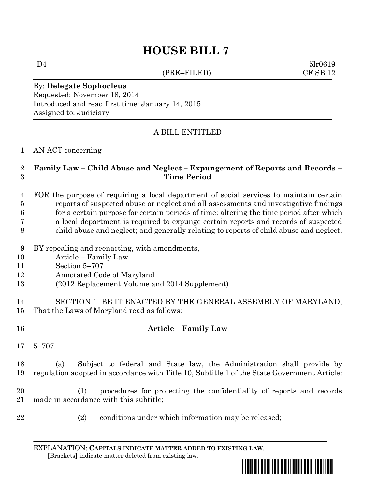# **HOUSE BILL 7**

(PRE–FILED) CF SB 12

 $D4$   $5lr0619$ 

By: **Delegate Sophocleus** Requested: November 18, 2014 Introduced and read first time: January 14, 2015 Assigned to: Judiciary

## A BILL ENTITLED

#### AN ACT concerning

#### **Family Law – Child Abuse and Neglect – Expungement of Reports and Records – Time Period**

# FOR the purpose of requiring a local department of social services to maintain certain reports of suspected abuse or neglect and all assessments and investigative findings for a certain purpose for certain periods of time; altering the time period after which a local department is required to expunge certain reports and records of suspected

- child abuse and neglect; and generally relating to reports of child abuse and neglect.
- BY repealing and reenacting, with amendments,
- Article Family Law
- Section 5–707
- Annotated Code of Maryland
- (2012 Replacement Volume and 2014 Supplement)
- SECTION 1. BE IT ENACTED BY THE GENERAL ASSEMBLY OF MARYLAND, That the Laws of Maryland read as follows:
- 

### **Article – Family Law**

5–707.

 (a) Subject to federal and State law, the Administration shall provide by regulation adopted in accordance with Title 10, Subtitle 1 of the State Government Article:

 (1) procedures for protecting the confidentiality of reports and records made in accordance with this subtitle;

- 
- (2) conditions under which information may be released;

EXPLANATION: **CAPITALS INDICATE MATTER ADDED TO EXISTING LAW**.  **[**Brackets**]** indicate matter deleted from existing law.